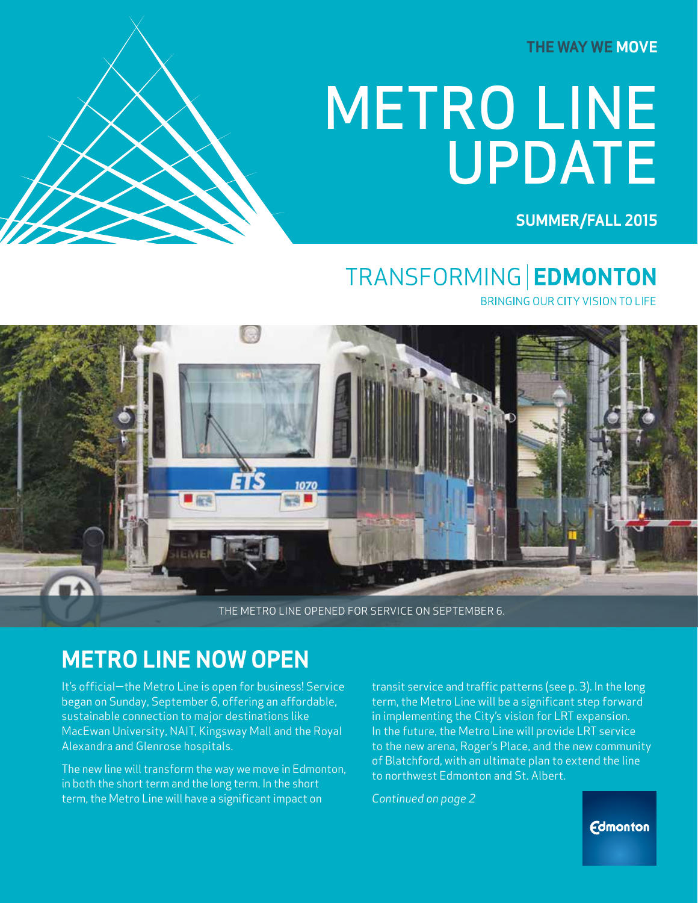**THE WAY WE MOVE**

# METRO LINE UPDATE

**SUMMER/FALL 2015**

### TRANSFORMING | EDMONTON

BRINGING OUR CITY VISION TO LIFE



THE METRO LINE OPENED FOR SERVICE ON SEPTEMBER 6.

WWW.EDMONTON.CA/METROLINE **METRO LINE UPDATE | PRE-OPENING EDITION 2**

#### **METRO LINE NOW OPEN**

It's official—the Metro Line is open for business! Service began on Sunday, September 6, offering an affordable, sustainable connection to major destinations like MacEwan University, NAIT, Kingsway Mall and the Royal Alexandra and Glenrose hospitals.

The new line will transform the way we move in Edmonton, in both the short term and the long term. In the short term, the Metro Line will have a significant impact on

transit service and traffic patterns (see p. 3). In the long term, the Metro Line will be a significant step forward in implementing the City's vision for LRT expansion. In the future, the Metro Line will provide LRT service to the new arena, Roger's Place, and the new community of Blatchford, with an ultimate plan to extend the line to northwest Edmonton and St. Albert.

*Continued on page 2*

**Edmonton**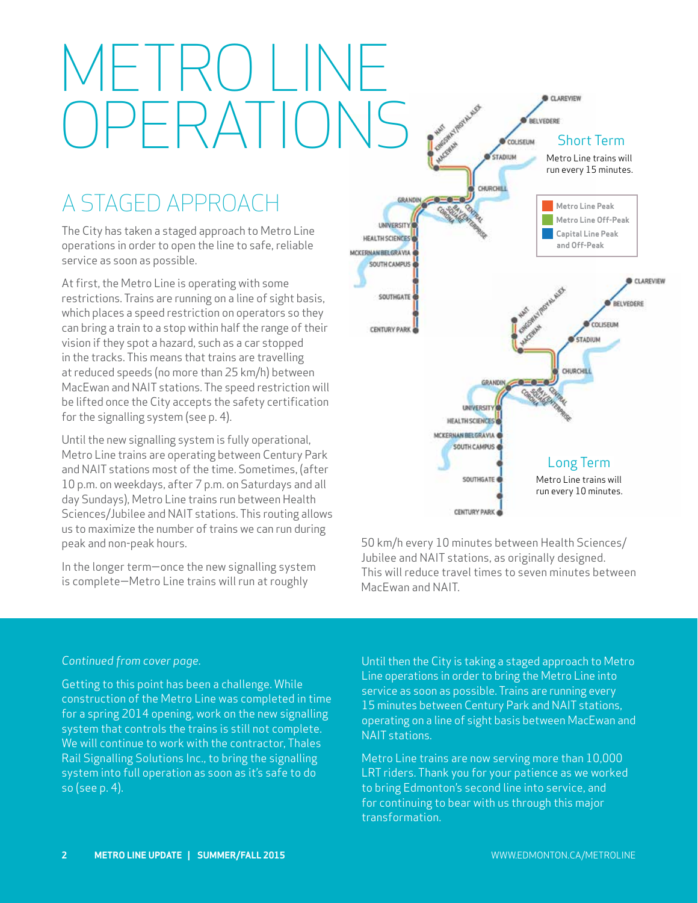# METRO LINE OPERATIONS .

### A STAGED APPROACH

The City has taken a staged approach to Metro Line operations in order to open the line to safe, reliable service as soon as possible.

At first, the Metro Line is operating with some restrictions. Trains are running on a line of sight basis, which places a speed restriction on operators so they can bring a train to a stop within half the range of their vision if they spot a hazard, such as a car stopped in the tracks. This means that trains are travelling at reduced speeds (no more than 25 km/h) between MacEwan and NAIT stations. The speed restriction will be lifted once the City accepts the safety certification for the signalling system (see p. 4).

Until the new signalling system is fully operational, Metro Line trains are operating between Century Park and NAIT stations most of the time. Sometimes, (after 10 p.m. on weekdays, after 7 p.m. on Saturdays and all day Sundays), Metro Line trains run between Health Sciences/Jubilee and NAIT stations. This routing allows us to maximize the number of trains we can run during peak and non-peak hours.

In the longer term—once the new signalling system is complete—Metro Line trains will run at roughly



50 km/h every 10 minutes between Health Sciences/ Jubilee and NAIT stations, as originally designed. This will reduce travel times to seven minutes between MacEwan and NAIT.

#### *Continued from cover page.*

Getting to this point has been a challenge. While construction of the Metro Line was completed in time for a spring 2014 opening, work on the new signalling system that controls the trains is still not complete. We will continue to work with the contractor, Thales Rail Signalling Solutions Inc., to bring the signalling system into full operation as soon as it's safe to do so (see p. 4).

Until then the City is taking a staged approach to Metro Line operations in order to bring the Metro Line into service as soon as possible. Trains are running every 15 minutes between Century Park and NAIT stations, operating on a line of sight basis between MacEwan and NAIT stations.

Metro Line trains are now serving more than 10,000 LRT riders. Thank you for your patience as we worked to bring Edmonton's second line into service, and for continuing to bear with us through this major transformation.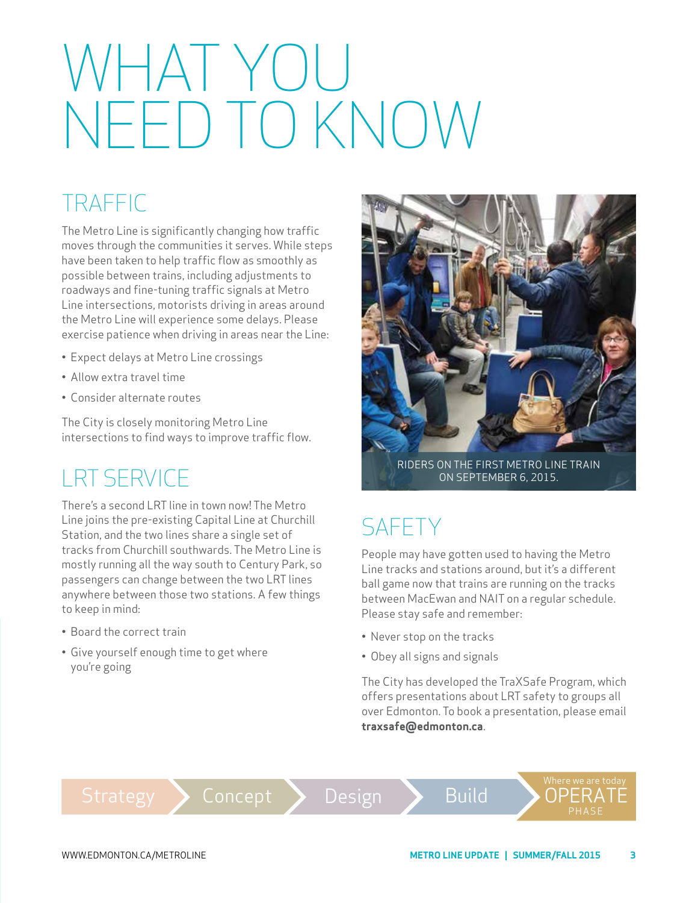# WHAT YOU NEED TO KNOW

### TRAFFIC

The Metro Line is significantly changing how traffic moves through the communities it serves. While steps have been taken to help traffic flow as smoothly as possible between trains, including adjustments to roadways and fine-tuning traffic signals at Metro Line intersections, motorists driving in areas around the Metro Line will experience some delays. Please exercise patience when driving in areas near the Line:

- Expect delays at Metro Line crossings
- Allow extra travel time
- Consider alternate routes

The City is closely monitoring Metro Line intersections to find ways to improve traffic flow.

#### LRT SERVICE

There's a second LRT line in town now! The Metro Line joins the pre-existing Capital Line at Churchill Station, and the two lines share a single set of tracks from Churchill southwards. The Metro Line is mostly running all the way south to Century Park, so passengers can change between the two LRT lines anywhere between those two stations. A few things to keep in mind:

- Board the correct train
- Give yourself enough time to get where you're going



RIDERS ON THE FIRST METRO LINE TRAIN ON SEPTEMBER 6, 2015.

### **SAFFTY**

People may have gotten used to having the Metro Line tracks and stations around, but it's a different ball game now that trains are running on the tracks between MacEwan and NAIT on a regular schedule. Please stay safe and remember:

- Never stop on the tracks
- Obey all signs and signals

The City has developed the TraXSafe Program, which offers presentations about LRT safety to groups all over Edmonton. To book a presentation, please email **traxsafe@edmonton.ca**.

```
Strategy Concept > Design > Build > OPERATÉ
```
WWW.EDMONTON.CA/METROLINE

PHASE